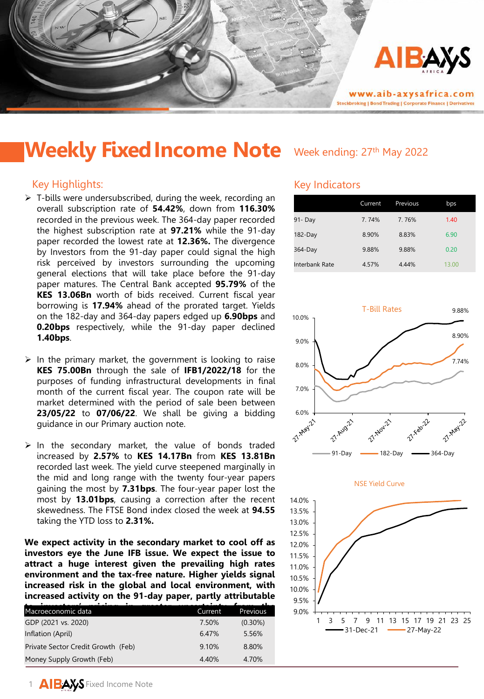

# Weekly Fixed Income Note Week ending: 27th May 2022

## Key Highlights:

- $\triangleright$  T-bills were undersubscribed, during the week, recording an overall subscription rate of **54.42%**, down from **116.30%** recorded in the previous week. The 364-day paper recorded the highest subscription rate at **97.21%** while the 91-day paper recorded the lowest rate at **12.36%.** The divergence by Investors from the 91-day paper could signal the high risk perceived by investors surrounding the upcoming general elections that will take place before the 91-day paper matures. The Central Bank accepted **95.79%** of the **KES 13.06Bn** worth of bids received. Current fiscal year borrowing is **17.94%** ahead of the prorated target. Yields on the 182-day and 364-day papers edged up **6.90bps** and **0.20bps** respectively, while the 91-day paper declined **1.40bps**.
- $\triangleright$  In the primary market, the government is looking to raise **KES 75.00Bn** through the sale of **IFB1/2022/18** for the purposes of funding infrastructural developments in final month of the current fiscal year. The coupon rate will be market determined with the period of sale been between **23/05/22** to **07/06/22**. We shall be giving a bidding guidance in our Primary auction note.
- $\triangleright$  In the secondary market, the value of bonds traded increased by **2.57%** to **KES 14.17Bn** from **KES 13.81Bn** recorded last week. The yield curve steepened marginally in the mid and long range with the twenty four-year papers gaining the most by **7.31bps**. The four-year paper lost the most by **13.01bps**, causing a correction after the recent skewedness. The FTSE Bond index closed the week at **94.55** taking the YTD loss to **2.31%.**

**We expect activity in the secondary market to cool off as investors eye the June IFB issue. We expect the issue to attract a huge interest given the prevailing high rates environment and the tax-free nature. Higher yields signal increased risk in the global and local environment, with increased activity on the 91-day paper, partly attributable**

| Macroeconomic data                 | Current | <b>Previous</b> |
|------------------------------------|---------|-----------------|
| GDP (2021 vs. 2020)                | 7.50%   | $(0.30\%)$      |
| Inflation (April)                  | 6.47%   | 5.56%           |
| Private Sector Credit Growth (Feb) | 9.10%   | 8.80%           |
| Money Supply Growth (Feb)          | 4.40%   | 4.70%           |

## Key Indicators

|                       | Current | Previous | bps   |
|-----------------------|---------|----------|-------|
| 91- Day               | 7.74%   | 7.76%    | 1.40  |
| $182$ -Day            | 8.90%   | 8.83%    | 6.90  |
| 364-Day               | 9.88%   | 9.88%    | 0.20  |
| <b>Interbank Rate</b> | 4.57%   | 4.44%    | 13.00 |



# 9.0% 9.5% 10.0% 10.5% 11.0% 11.5% 12.0% 1 3 5 7 9 11 13 15 17 19 21 23 25 -31-Dec-21 - 27-May-22

1 AIBAYS Fixed Income Note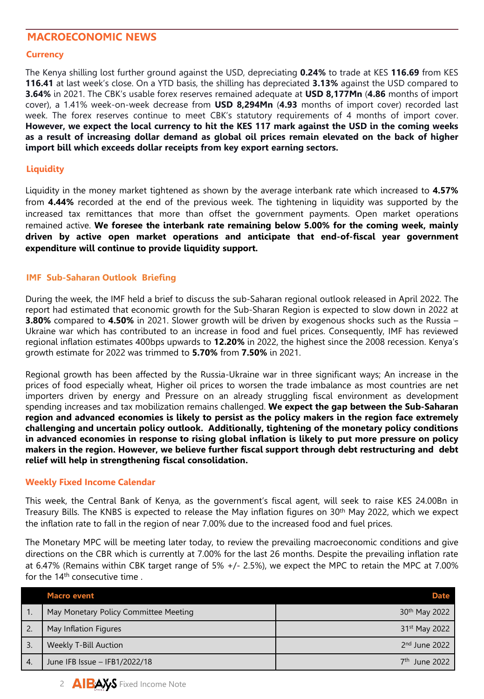# **MACROECONOMIC NEWS**

#### **Currency**

The Kenya shilling lost further ground against the USD, depreciating **0.24%** to trade at KES **116.69** from KES **116.41** at last week's close. On a YTD basis, the shilling has depreciated **3.13%** against the USD compared to **3.64%** in 2021. The CBK's usable forex reserves remained adequate at **USD 8,177Mn** (**4.86** months of import cover), a 1.41% week-on-week decrease from **USD 8,294Mn** (**4.93** months of import cover) recorded last week. The forex reserves continue to meet CBK's statutory requirements of 4 months of import cover. However, we expect the local currency to hit the KES 117 mark against the USD in the coming weeks **as a result of increasing dollar demand as global oil prices remain elevated on the back of higher import bill which exceeds dollar receipts from key export earning sectors.**

### **Liquidity**

Liquidity in the money market tightened as shown by the average interbank rate which increased to **4.57%** from **4.44%** recorded at the end of the previous week. The tightening in liquidity was supported by the increased tax remittances that more than offset the government payments. Open market operations remained active. **We foresee the interbank rate remaining below 5.00% for the coming week, mainly driven by active open market operations and anticipate that end-of-fiscal year government expenditure will continue to provide liquidity support.**

#### **IMF Sub-Saharan Outlook Briefing**

During the week, the IMF held a brief to discuss the sub-Saharan regional outlook released in April 2022. The report had estimated that economic growth for the Sub-Sharan Region is expected to slow down in 2022 at **3.80%** compared to **4.50%** in 2021. Slower growth will be driven by exogenous shocks such as the Russia – Ukraine war which has contributed to an increase in food and fuel prices. Consequently, IMF has reviewed regional inflation estimates 400bps upwards to **12.20%** in 2022, the highest since the 2008 recession. Kenya's growth estimate for 2022 was trimmed to **5.70%** from **7.50%** in 2021.

Regional growth has been affected by the Russia-Ukraine war in three significant ways; An increase in the prices of food especially wheat, Higher oil prices to worsen the trade imbalance as most countries are net importers driven by energy and Pressure on an already struggling fiscal environment as development spending increases and tax mobilization remains challenged. **We expect the gap between the Sub-Saharan region and advanced economies is likely to persist as the policy makers in the region face extremely challenging and uncertain policy outlook. Additionally, tightening of the monetary policy conditions in advanced economies in response to rising global inflation is likely to put more pressure on policy makers in the region. However, we believe further fiscal support through debt restructuring and debt relief will help in strengthening fiscal consolidation.**

#### **Weekly Fixed Income Calendar**

This week, the Central Bank of Kenya, as the government's fiscal agent, will seek to raise KES 24.00Bn in Treasury Bills. The KNBS is expected to release the May inflation figures on 30<sup>th</sup> May 2022, which we expect the inflation rate to fall in the region of near 7.00% due to the increased food and fuel prices.

The Monetary MPC will be meeting later today, to review the prevailing macroeconomic conditions and give directions on the CBR which is currently at 7.00% for the last 26 months. Despite the prevailing inflation rate at 6.47% (Remains within CBK target range of 5% +/- 2.5%), we expect the MPC to retain the MPC at 7.00% for the 14<sup>th</sup> consecutive time.

|                  | <b>Macro event</b>                    | <b>Date</b>               |
|------------------|---------------------------------------|---------------------------|
|                  | May Monetary Policy Committee Meeting | 30 <sup>th</sup> May 2022 |
|                  | May Inflation Figures                 | 31 <sup>st</sup> May 2022 |
| $\overline{3}$   | <b>Weekly T-Bill Auction</b>          | $2nd$ June 2022           |
| $\overline{4}$ . | June IFB Issue - IFB1/2022/18         | $7th$ June 2022           |